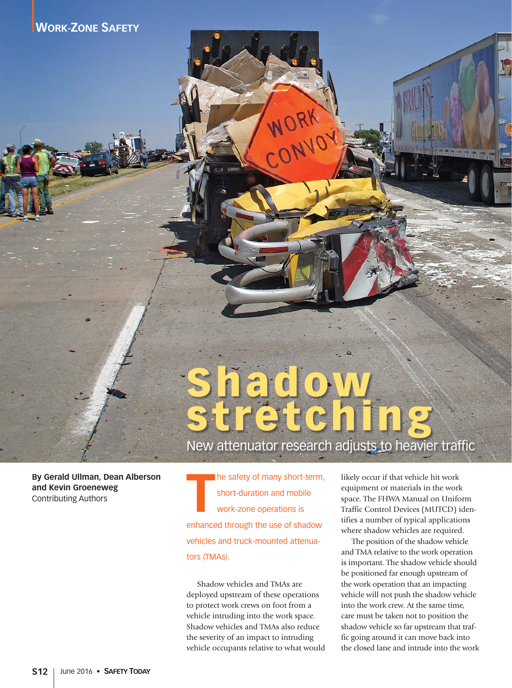# **Shadow stretching**

New attenuator research adjusts to heavier traffic

**By Gerald Ullman, Dean Alberson and Kevin Groeneweg** Contributing Authors

**T** he safety of many short-term, short-duration and mobile work-zone operations is enhanced through the use of shadow vehicles and truck-mounted attenuators (TMAs).

Shadow vehicles and TMAs are deployed upstream of these operations to protect work crews on foot from a vehicle intruding into the work space. Shadow vehicles and TMAs also reduce the severity of an impact to intruding vehicle occupants relative to what would

likely occur if that vehicle hit work equipment or materials in the work space. The FHWA Manual on Uniform Traffic Control Devices (MUTCD) identifies a number of typical applications where shadow vehicles are required.

The position of the shadow vehicle and TMA relative to the work operation is important. The shadow vehicle should be positioned far enough upstream of the work operation that an impacting vehicle will not push the shadow vehicle into the work crew. At the same time, care must be taken not to position the shadow vehicle so far upstream that traffic going around it can move back into the closed lane and intrude into the work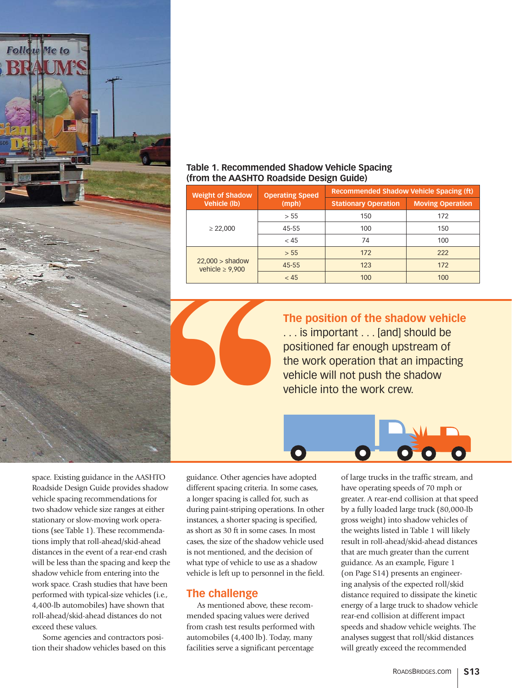

#### **Table 1. Recommended Shadow Vehicle Spacing (from the AASHTO Roadside Design Guide)**

| <b>Weight of Shadow</b><br><b>Vehicle (lb)</b> | <b>Operating Speed</b><br>(mph)                                                                                                                                                      | <b>Recommended Shadow Vehicle Spacing (ft)</b> |                                            |
|------------------------------------------------|--------------------------------------------------------------------------------------------------------------------------------------------------------------------------------------|------------------------------------------------|--------------------------------------------|
|                                                |                                                                                                                                                                                      | <b>Stationary Operation</b>                    | <b>Moving Operation</b>                    |
| $\geq$ 22,000                                  | > 55                                                                                                                                                                                 | 150                                            | 172                                        |
|                                                | 45-55                                                                                                                                                                                | 100                                            | 150                                        |
|                                                | < 45                                                                                                                                                                                 | 74                                             | 100                                        |
| $22,000 >$ shadow<br>vehicle $\geq 9,900$      | > 55                                                                                                                                                                                 | 172                                            | 222                                        |
|                                                | 45-55                                                                                                                                                                                | 123                                            | 172                                        |
|                                                | < 45                                                                                                                                                                                 | 100                                            | 100                                        |
|                                                | The position of the shadow vehicle<br>is important  [and] should be<br>positioned far enough upstream of<br>the work operation that an impacting<br>vehicle will not push the shadow |                                                |                                            |
|                                                |                                                                                                                                                                                      | vehicle into the work crew.                    |                                            |
| guidance. Other agencies have adopted          |                                                                                                                                                                                      |                                                | of large trucks in the traffic stream, and |



space. Existing guidance in the AASHTO Roadside Design Guide provides shadow vehicle spacing recommendations for two shadow vehicle size ranges at either stationary or slow-moving work operations (see Table 1). These recommendations imply that roll-ahead/skid-ahead distances in the event of a rear-end crash will be less than the spacing and keep the shadow vehicle from entering into the work space. Crash studies that have been performed with typical-size vehicles (i.e., 4,400-lb automobiles) have shown that roll-ahead/skid-ahead distances do not exceed these values.

Some agencies and contractors position their shadow vehicles based on this guidance. Other agencies have adopted different spacing criteria. In some cases, a longer spacing is called for, such as during paint-striping operations. In other instances, a shorter spacing is specified, as short as 30 ft in some cases. In most cases, the size of the shadow vehicle used is not mentioned, and the decision of what type of vehicle to use as a shadow vehicle is left up to personnel in the field.

### **The challenge**

As mentioned above, these recommended spacing values were derived from crash test results performed with automobiles (4,400 lb). Today, many facilities serve a significant percentage

of large trucks in the traffic stream, and have operating speeds of 70 mph or greater. A rear-end collision at that speed by a fully loaded large truck (80,000-lb gross weight) into shadow vehicles of the weights listed in Table 1 will likely result in roll-ahead/skid-ahead distances that are much greater than the current guidance. As an example, Figure 1 (on Page S14) presents an engineering analysis of the expected roll/skid distance required to dissipate the kinetic energy of a large truck to shadow vehicle rear-end collision at different impact speeds and shadow vehicle weights. The analyses suggest that roll/skid distances will greatly exceed the recommended